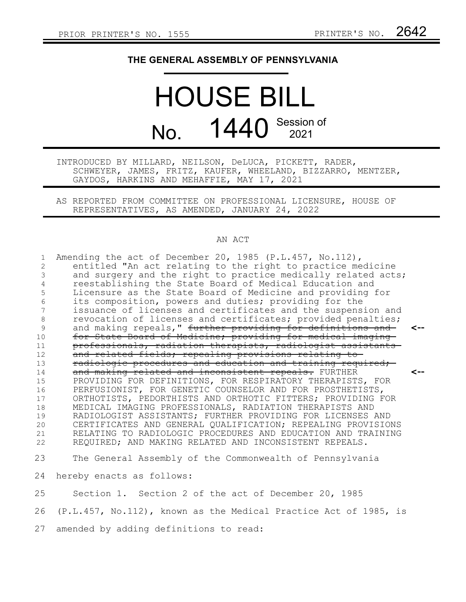## **THE GENERAL ASSEMBLY OF PENNSYLVANIA**

## HOUSE BILL No. 1440 Session of

INTRODUCED BY MILLARD, NEILSON, DeLUCA, PICKETT, RADER, SCHWEYER, JAMES, FRITZ, KAUFER, WHEELAND, BIZZARRO, MENTZER, GAYDOS, HARKINS AND MEHAFFIE, MAY 17, 2021

AS REPORTED FROM COMMITTEE ON PROFESSIONAL LICENSURE, HOUSE OF REPRESENTATIVES, AS AMENDED, JANUARY 24, 2022

## AN ACT

| 1       | Amending the act of December 20, 1985 (P.L.457, No.112),         |     |
|---------|------------------------------------------------------------------|-----|
| 2       | entitled "An act relating to the right to practice medicine      |     |
| 3       | and surgery and the right to practice medically related acts;    |     |
| 4       | reestablishing the State Board of Medical Education and          |     |
| 5       | Licensure as the State Board of Medicine and providing for       |     |
| 6       | its composition, powers and duties; providing for the            |     |
| 7       | issuance of licenses and certificates and the suspension and     |     |
| $\,8\,$ | revocation of licenses and certificates; provided penalties;     |     |
| 9       | and making repeals," further providing for definitions and       |     |
| 10      | for State Board of Medicine; providing for medical imaging       |     |
| 11      | professionals, radiation therapists, radiologist assistants      |     |
| 12      | and related fields; repealing provisions relating to-            |     |
| 13      | radiologic procedures and education and training required;       |     |
| 14      | and making related and inconsistent repeals. FURTHER             | <-- |
| 15      | PROVIDING FOR DEFINITIONS, FOR RESPIRATORY THERAPISTS, FOR       |     |
| 16      | PERFUSIONIST, FOR GENETIC COUNSELOR AND FOR PROSTHETISTS,        |     |
| 17      | ORTHOTISTS, PEDORTHISTS AND ORTHOTIC FITTERS; PROVIDING FOR      |     |
| 18      | MEDICAL IMAGING PROFESSIONALS, RADIATION THERAPISTS AND          |     |
| 19      | RADIOLOGIST ASSISTANTS; FURTHER PROVIDING FOR LICENSES AND       |     |
| 20      | CERTIFICATES AND GENERAL QUALIFICATION; REPEALING PROVISIONS     |     |
| 21      | RELATING TO RADIOLOGIC PROCEDURES AND EDUCATION AND TRAINING     |     |
| 22      | REQUIRED; AND MAKING RELATED AND INCONSISTENT REPEALS.           |     |
| 23      | The General Assembly of the Commonwealth of Pennsylvania         |     |
| 24      | hereby enacts as follows:                                        |     |
| 25      | Section 1. Section 2 of the act of December 20, 1985             |     |
| 26      | (P.L.457, No.112), known as the Medical Practice Act of 1985, is |     |

27 amended by adding definitions to read: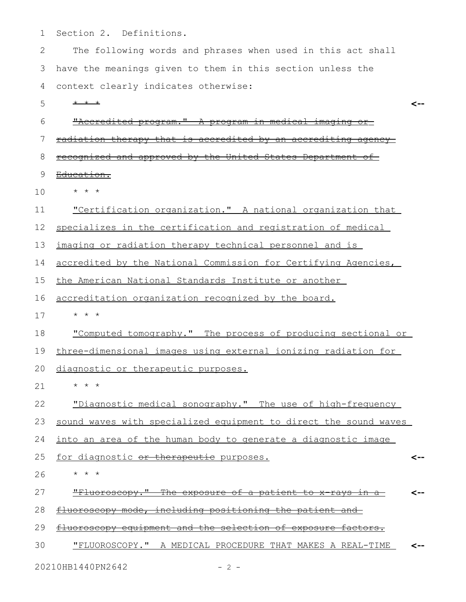Section 2. Definitions. 1

The following words and phrases when used in this act shall have the meanings given to them in this section unless the 3 context clearly indicates otherwise: 2 4

\* \* \* 5

**<--**

| 6  | "Accredited program." A program in medical imaging<br><del>or</del>           |     |
|----|-------------------------------------------------------------------------------|-----|
| 7  | radiation therapy that is accredited by an accrediting<br><del>aqencv -</del> |     |
| 8  | recognized and approved by the United States Department of-                   |     |
| 9  | <del>Education.</del>                                                         |     |
| 10 | $\star$ $\star$ $\star$                                                       |     |
| 11 | "Certification organization." A national organization that                    |     |
| 12 | specializes in the certification and registration of medical                  |     |
| 13 | imaging or radiation therapy technical personnel and is                       |     |
| 14 | accredited by the National Commission for Certifying Agencies,                |     |
| 15 | the American National Standards Institute or another                          |     |
| 16 | accreditation organization recognized by the board.                           |     |
| 17 | $\star$ $\star$ $\star$                                                       |     |
| 18 | "Computed tomography." The process of producing sectional or                  |     |
| 19 | three-dimensional images using external ionizing radiation for                |     |
| 20 | diagnostic or therapeutic purposes.                                           |     |
| 21 | $\star$ $\star$<br>$^{\star}$                                                 |     |
| 22 | "Diagnostic medical sonography." The use of high-frequency                    |     |
| 23 | sound waves with specialized equipment to direct the sound waves              |     |
| 24 | into an area of the human body to generate a diagnostic image                 |     |
| 25 | for diagnostic or therapeutie purposes.                                       | <-- |
| 26 | $\star$ $\star$ $\star$                                                       |     |
| 27 | "Fluoroscopy." The exposure of a patient to x rays in a                       |     |
| 28 | fluoroscopy mode, including positioning the patient and                       |     |
| 29 | fluoroscopy equipment and the selection of exposure factors.                  |     |
| 30 | "FLUOROSCOPY." A MEDICAL PROCEDURE THAT MAKES A REAL-TIME                     |     |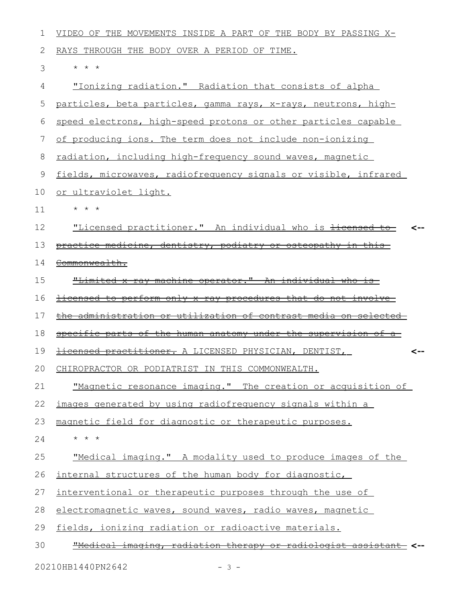| 1  | VIDEO OF THE MOVEMENTS INSIDE A PART OF THE BODY BY PASSING X-        |  |
|----|-----------------------------------------------------------------------|--|
| 2  | RAYS THROUGH THE BODY OVER A PERIOD OF TIME.                          |  |
| 3  | * * *                                                                 |  |
| 4  | "Ionizing radiation." Radiation that consists of alpha                |  |
| 5  | particles, beta particles, gamma rays, x-rays, neutrons, high-        |  |
| 6  | speed electrons, high-speed protons or other particles capable        |  |
| 7  | of producing ions. The term does not include non-ionizing             |  |
| 8  | radiation, including high-frequency sound waves, magnetic             |  |
| 9  | fields, microwaves, radiofrequency signals or visible, infrared       |  |
| 10 | or ultraviolet light.                                                 |  |
| 11 | $\star$ $\star$ $\star$                                               |  |
| 12 | "Licensed practitioner." An individual who is licensed to             |  |
| 13 | practice medicine, dentistry, podiatry or osteopathy in this          |  |
| 14 | Commonwealth.                                                         |  |
| 15 | "Limited x-ray machine operator." An individual who is-               |  |
| 16 | <u>licensed to perform only x-ray procedures that do not involve-</u> |  |
| 17 | the administration or utilization of contrast media on selected       |  |
| 18 | specific parts of the human anatomy under the supervision of a        |  |
| 19 | <b>licensed practitioner.</b> A LICENSED PHYSICIAN, DENTIST,          |  |
| 20 | CHIROPRACTOR OR PODIATRIST IN THIS COMMONWEALTH.                      |  |
| 21 | "Magnetic resonance imaging." The creation or acquisition of          |  |
| 22 | images generated by using radiofrequency signals within a             |  |
| 23 | magnetic field for diagnostic or therapeutic purposes.                |  |
| 24 | $\star$ $\star$ $\star$                                               |  |
| 25 | "Medical imaging." A modality used to produce images of the           |  |
| 26 | internal structures of the human body for diagnostic,                 |  |
| 27 | interventional or therapeutic purposes through the use of             |  |
| 28 | electromagnetic waves, sound waves, radio waves, magnetic             |  |
| 29 | fields, ionizing radiation or radioactive materials.                  |  |
| 30 | "Medical imaging, radiation therapy or radiologist assistant          |  |
|    | 20210HB1440PN2642<br>$-3 -$                                           |  |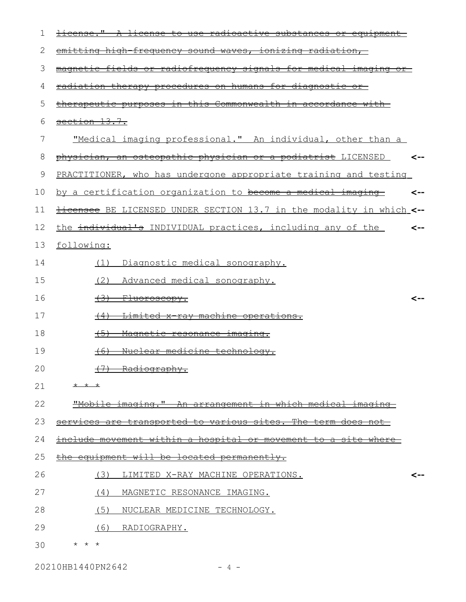| 1  | <u> ±icense."</u><br>$\boldsymbol{\mathcal{A}}$<br><del>stances</del><br>⊖£<br><del>use</del> |
|----|-----------------------------------------------------------------------------------------------|
| 2  | emitting high frequency sound waves, ionizing radiation,                                      |
| 3  | magnetic fields or radiofrequency signals for medical imaging                                 |
| 4  | <u>radiation therapy procedures on humans for diagnostic</u><br>$\circ$ r $\hspace{0.1mm}-$   |
| 5  | therapeutic purposes in this Commonwealth in accordance with                                  |
| 6  | section 13.7.                                                                                 |
| 7  | "Medical imaging professional." An individual, other than a                                   |
| 8  | physician, an osteopathic physician or a podiatrist LICENSED                                  |
| 9  | PRACTITIONER, who has undergone appropriate training and testing                              |
| 10 | <u>by a certification organization to become a medical imaging-</u><br><--                    |
| 11 | Hicensee BE LICENSED UNDER SECTION 13.7 in the modality in which <--                          |
| 12 | the individual's INDIVIDUAL practices, including any of the<br><--                            |
| 13 | following:                                                                                    |
| 14 | (1)<br>Diagnostic medical sonography.                                                         |
| 15 | (2)<br>Advanced medical sonography.                                                           |
| 16 | <del>(3)</del><br><del>Fluoroscopy.</del><br><--                                              |
| 17 | <del>Limited x-ray machine operations.</del><br>$+4$                                          |
| 18 | $+5$<br>Magnetic resonance<br><del>ımaqınq.</del>                                             |
| 19 | Nuclear medicine technology.<br>$+6$                                                          |
| 20 | (7) Radiography.                                                                              |
| 21 | $+$ $+$ $+$                                                                                   |
| 22 | "Mobile imaging." An arrangement in which medical imaging                                     |
| 23 | services are transported to various sites. The term does not                                  |
| 24 | <u>include movement within a hospital or movement to a site where-</u>                        |
| 25 | equipment will be located permanently.                                                        |
| 26 | (3)<br>LIMITED X-RAY MACHINE OPERATIONS.<br><--                                               |
| 27 | (4)<br>MAGNETIC RESONANCE IMAGING.                                                            |
| 28 | (5)<br>NUCLEAR MEDICINE TECHNOLOGY.                                                           |
| 29 | (6) RADIOGRAPHY.                                                                              |
| 30 | $\star$ $\star$ $\star$                                                                       |

20210HB1440PN2642 - 4 -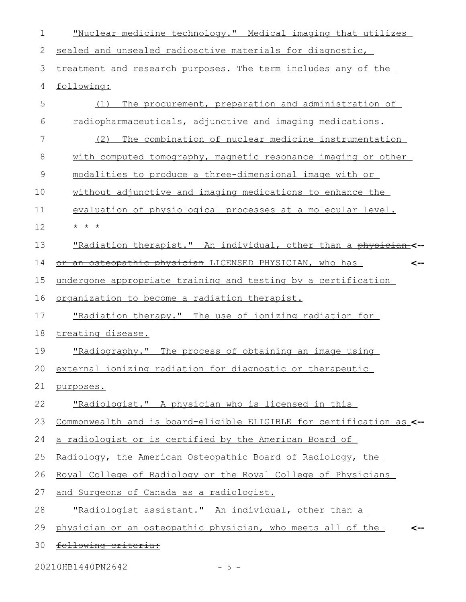"Nuclear medicine technology." Medical imaging that utilizes sealed and unsealed radioactive materials for diagnostic, treatment and research purposes. The term includes any of the following: (1) The procurement, preparation and administration of radiopharmaceuticals, adjunctive and imaging medications. (2) The combination of nuclear medicine instrumentation with computed tomography, magnetic resonance imaging or other modalities to produce a three-dimensional image with or without adjunctive and imaging medications to enhance the evaluation of physiological processes at a molecular level. \* \* \* "Radiation therapist." An individual, other than a physician **<-** or an osteopathic physician LICENSED PHYSICIAN, who has undergone appropriate training and testing by a certification organization to become a radiation therapist. "Radiation therapy." The use of ionizing radiation for treating disease. "Radiography." The process of obtaining an image using external ionizing radiation for diagnostic or therapeutic purposes. "Radiologist." A physician who is licensed in this Commonwealth and is board-eligible ELIGIBLE for certification as **<-** a radiologist or is certified by the American Board of Radiology, the American Osteopathic Board of Radiology, the Royal College of Radiology or the Royal College of Physicians and Surgeons of Canada as a radiologist. "Radiologist assistant." An individual, other than a physician or an osteopathic physician, who meets all of the following criteria: **<-- <--** 1 2 3 4 5 6 7 8 9 10 11 12 13 14 15 16 17 18 19 20 21 22 23 24 25 26 27 28 29 30

20210HB1440PN2642 - 5 -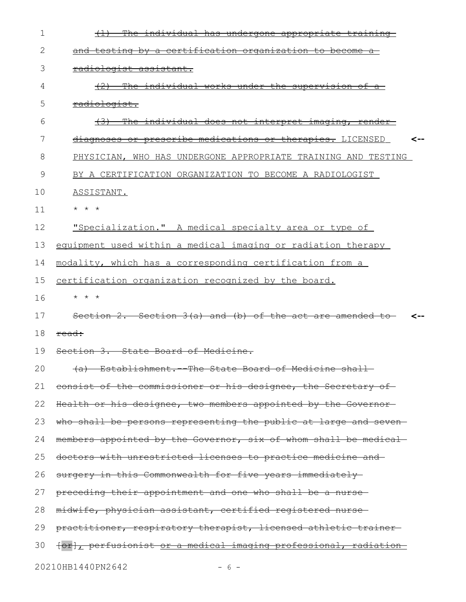| 1  | individual has undergone appropriate training                          |
|----|------------------------------------------------------------------------|
| 2  | and testing by a certification organization to become a                |
| 3  | radiologist assistant.                                                 |
| 4  | individual works under the supervision of a<br><del>(2)</del>          |
| 5  | radiologist.                                                           |
| 6  | The individual does not interpret imaging, render-                     |
| 7  | diagnoses or prescribe medications or therapies. LICENSED              |
| 8  | PHYSICIAN, WHO HAS UNDERGONE APPROPRIATE TRAINING AND TESTING          |
| 9  | BY A CERTIFICATION ORGANIZATION TO BECOME A RADIOLOGIST                |
| 10 | ASSISTANT.                                                             |
| 11 | $\star$ $\star$ $\star$                                                |
| 12 | "Specialization." A medical specialty area or type of                  |
| 13 | equipment used within a medical imaging or radiation therapy           |
| 14 | modality, which has a corresponding certification from a               |
| 15 | certification organization recognized by the board.                    |
|    |                                                                        |
| 16 | $\star$ $\star$ $\star$                                                |
| 17 | Section 2. Section $3(a)$ and (b) of the act are amended to            |
| 18 | read:                                                                  |
| 19 | Section 3. State Board of Medicine.                                    |
| 20 | (a) Establishment.--The State Board of Medicine shall                  |
| 21 | consist of the commissioner or his designee, the Secretary of          |
| 22 | Health or his designee, two members appointed by the Governor-         |
| 23 | who shall be persons representing the public at large and seven-       |
| 24 | members appointed by the Governor, six of whom shall be medical-       |
| 25 | doctors with unrestricted licenses to practice medicine and-           |
| 26 | surgery in this Commonwealth for five years immediately                |
| 27 | preceding their appointment and one who shall be a nurse-              |
| 28 | midwife, physician assistant, certified registered nurse-              |
| 29 | practitioner, respiratory therapist, licensed athletic trainer-        |
| 30 | forl, perfusionist <u>or a medical imaging professional, radiation</u> |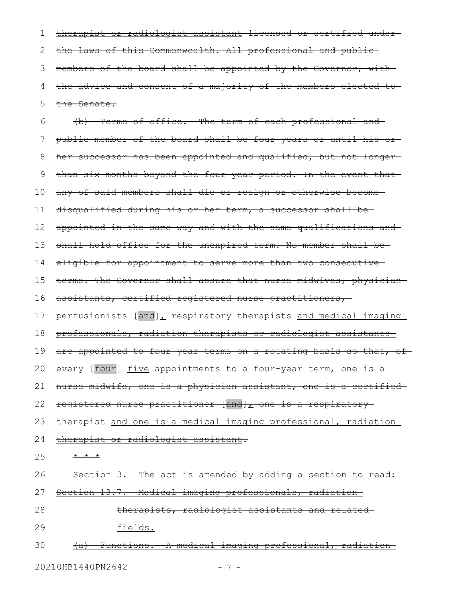therapist or radiologist assistant licensed or certified under the laws of this Commonwealth. All professional and public members of the board shall be appointed by the Governor, with the advice and consent of a majority of the members elected to the Senate. 1 2 3 4 5

(b) Terms of office.--The term of each professional and public member of the board shall be four years or until his or her successor has been appointed and qualified, but not longerthan six months beyond the four-year period. In the event that any of said members shall die or resign or otherwise become disqualified during his or her term, a successor shall be appointed in the same way and with the same qualifications and shall hold office for the unexpired term. No member shall be eligible for appointment to serve more than two consecutive terms. The Governor shall assure that nurse midwives, physicianassistants, certified registered nurse practitioners, perfusionists [and], respiratory therapists and medical imaging professionals, radiation therapists or radiologist assistants are appointed to four-year terms on a rotating basis so that, of every [four] five appointments to a four year term, one is a nurse midwife, one is a physician assistant, one is a certified registered nurse practitioner [and], one is a respiratorytherapist and one is a medical imaging professional, radiation therapist or radiologist assistant. \* \* \* Section 3. The act is amended by adding a section to read: Section 13.7. Medical imaging professionals, radiation therapists, radiologist assistants and related fields. (a) Functions.--A medical imaging professional, radiation 6 7 8 9 10 11 12 13 14 15 16 17 18 19 20 21 22 23 24 25 26 27 28 29 30

20210HB1440PN2642 - 7 -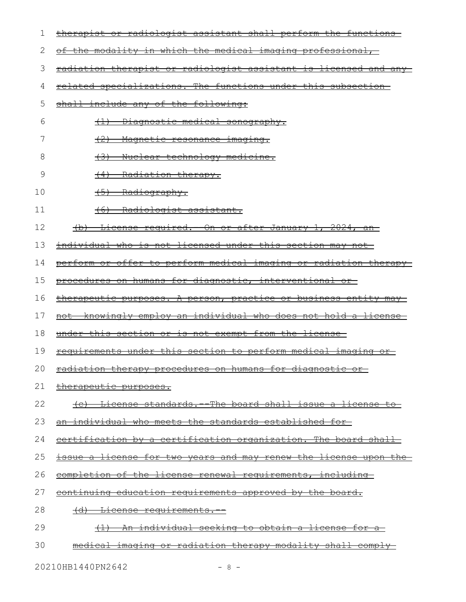| 1  | therapist or radiologist assistant shall perform the functions           |
|----|--------------------------------------------------------------------------|
| 2  | of the modality in which the medical imaging professional,               |
| 3  | <u>radiation therapist or radiologist assistant is licensed and any-</u> |
| 4  | <u>related specializations. The functions under this subsection-</u>     |
| 5  | shall include any of the following:                                      |
| 6  | (1) Diagnostic medical sonography.                                       |
| 7  | (2) Magnetic resonance imaging.                                          |
| 8  | (3) Nuclear technology medicine.                                         |
| 9  | (4) Radiation therapy.                                                   |
| 10 | $(5)$ Radiography.                                                       |
| 11 | <u>Radiologist assistant.</u><br>$+6$                                    |
| 12 | (b) License required. On or after January 1, 2024, an                    |
| 13 | <u>individual who is not licensed under this section may not-</u>        |
| 14 | perform or offer to perform medical imaging or radiation therapy         |
| 15 | procedures on humans for diagnostic, interventional or                   |
| 16 | therapeutic purposes. A person, practice or business entity may          |
| 17 | <u>not knowingly employ an individual who does not hold a license-</u>   |
| 18 | under this section or is not exempt from the license-                    |
| 19 | requirements under this section to perform medical imaging or            |
|    | 20 radiation therapy procedures on humans for diagnostic or              |
| 21 | therapeutic purposes.                                                    |
| 22 | (c) License standards. The board shall issue a license to                |
| 23 | an individual who meets the standards established for-                   |
| 24 | certification by a certification organization. The board shall           |
| 25 | issue a license for two years and may renew the license upon the         |
| 26 | completion of the license renewal requirements, including-               |
| 27 | <u>continuing education requirements approved by the board.</u>          |
| 28 | <u>(d) License requirements.</u>                                         |
| 29 | <u>individual seeking to obtain a license for a</u>                      |
| 30 | medical imaging or radiation therapy modality shall comply-              |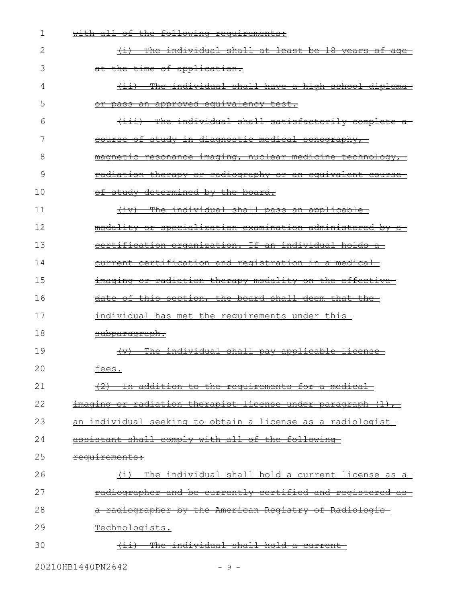| 1  | the following requirements:<br><del>with all of</del>                              |
|----|------------------------------------------------------------------------------------|
| 2  | The individual shall at least be 18 years of age<br>$\overline{ \leftrightarrow }$ |
| 3  | at the time of application.                                                        |
| 4  | (ii) The individual shall have a high school diploma                               |
| 5  | or pass an approved equivalency test.                                              |
| 6  | (iii) The individual shall satisfactorily complete a                               |
| 7  | course of study in diagnostic medical sonography,                                  |
| 8  | magnetic resonance imaging, nuclear medicine technology,                           |
| 9  | radiation therapy or radiography or an equivalent course                           |
| 10 | of study determined by the board.                                                  |
| 11 | (iv) The individual shall pass an applicable-                                      |
| 12 | modality or specialization examination administered by a                           |
| 13 | eertification organization. If an individual holds a                               |
| 14 | current certification and registration in a medical-                               |
| 15 | <u>imaging or radiation therapy modality on the effective-</u>                     |
| 16 | date of this section, the board shall deem that the                                |
| 17 | individual has met the requirements under this-                                    |
| 18 | subparagraph.                                                                      |
| 19 | The individual shall pay applicable license<br>$+\!\!-\!\!+\!\!-\!\!-\!\!$         |
| 20 | fees.                                                                              |
| 21 | (2) In addition to the requirements for a medical                                  |
| 22 | imaging or radiation therapist license under paragraph (1),                        |
| 23 | <u>an individual seeking to obtain a license as a radiologist-</u>                 |
| 24 | assistant shall comply with all of the following                                   |
| 25 | requirements:                                                                      |
| 26 | (i) The individual shall hold a current license as a                               |
| 27 | <u>radiographer and be currently certified and registered as</u>                   |
| 28 | a radiographer by the American Registry of Radiologic                              |
| 29 | Technologists.                                                                     |
| 30 | The individual shall hold a current-                                               |
|    |                                                                                    |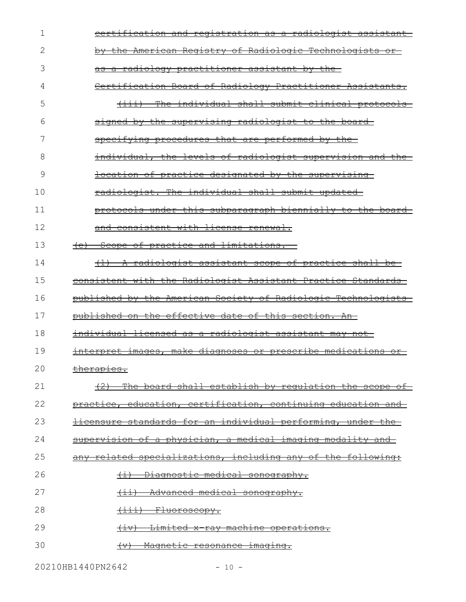| 1  | certification and registration as a radiologist assistant-                                                                                                                                                               |
|----|--------------------------------------------------------------------------------------------------------------------------------------------------------------------------------------------------------------------------|
| 2  | by the American Registry of Radiologic Technologists or-                                                                                                                                                                 |
| 3  | as a radiology practitioner assistant by the-                                                                                                                                                                            |
| 4  | Certification Board of Radiology Practitioner Assistants.                                                                                                                                                                |
| 5  | The individual shall submit clinical protocols-<br>$\overbrace{ \quad }^{ \overbrace{ \quad \  \  \  \, \cdot \, \ldots }^{ \overbrace{ \quad \  \  \, \cdot \, \ldots }^{ \overbrace{ \quad \  \  \, \cdot \, \ldots }$ |
| 6  | signed by the supervising radiologist to the board                                                                                                                                                                       |
|    | specifying procedures that are performed by the                                                                                                                                                                          |
| 8  | individual, the levels of radiologist supervision and the                                                                                                                                                                |
| 9  | <u>location of practice designated by the supervising-</u>                                                                                                                                                               |
| 10 | radiologist. The individual shall submit updated                                                                                                                                                                         |
| 11 | protocols under this subparagraph biennially to the board-                                                                                                                                                               |
| 12 | and consistent with license renewal.                                                                                                                                                                                     |
| 13 | (e) Scope of practice and limitations.                                                                                                                                                                                   |
| 14 | (1) A radiologist assistant scope of practice shall be                                                                                                                                                                   |
| 15 | consistent with the Radiologist Assistant Practice Standards-                                                                                                                                                            |
| 16 | published by the American Society of Radiologic Technologists                                                                                                                                                            |
| 17 | published on the effective date of this section. An-                                                                                                                                                                     |
| 18 | individual licensed as a radiologist assistant may not                                                                                                                                                                   |
| 19 | interpret images, make diagnoses or prescribe medications or                                                                                                                                                             |
| 20 | $+$ homen's o<br><del>cnerapies.</del>                                                                                                                                                                                   |
| 21 | (2) The board shall establish by requlation the scope of                                                                                                                                                                 |
| 22 | practice, education, certification, continuing education and                                                                                                                                                             |
| 23 | licensure standards for an individual performing, under the                                                                                                                                                              |
| 24 | supervision of a physician, a medical imaging modality and                                                                                                                                                               |
| 25 | any related specializations, including any of the following:                                                                                                                                                             |
| 26 | Diagnostic medical sonography.<br>$\overline{t}$                                                                                                                                                                         |
| 27 | Advanced medical sonography.<br>$\overline{ \pm \pm \rangle}$                                                                                                                                                            |
| 28 | (iii) Fluoroscopy.                                                                                                                                                                                                       |
| 29 | Limited x-ray machine operations.<br>$+ \pm \mathrm{v}$                                                                                                                                                                  |
| 30 | Magnetic resonance imaging.<br>$+\!\!\:\! \forall$ )                                                                                                                                                                     |

20210HB1440PN2642 - 10 -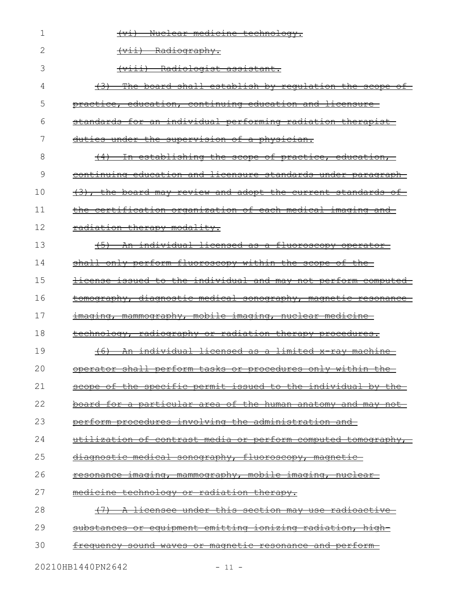| 1  | Nuclear medicine technology.                                          |
|----|-----------------------------------------------------------------------|
| 2  | (vii) Radiography.                                                    |
| 3  | (viii) Radiologist assistant.                                         |
| 4  | (3) The board shall establish by requlation the scope of              |
| 5  | practice, education, continuing education and licensure-              |
| 6  | standards for an individual performing radiation therapist-           |
| 7  | duties under the supervision of a physician.                          |
| 8  | (4) In establishing the scope of practice, education,                 |
| 9  | continuing education and licensure standards under paragraph          |
| 10 | $(3)$ , the board may review and adopt the current standards of       |
| 11 | the certification organization of each medical imaging and            |
| 12 | radiation therapy modality.                                           |
| 13 | An individual licensed as a fluoroscopy operator                      |
| 14 | shall only perform fluoroscopy within the scope of the                |
| 15 | license issued to the individual and may not perform computed         |
| 16 | tomography, diagnostic medical sonography, magnetic resonance         |
| 17 | imaging, mammography, mobile imaging, nuclear medicine-               |
| 18 | technology, radiography or radiation therapy procedures.              |
| 19 | An individual licensed as a limited x-ray machine<br>$+6+$            |
| 20 | operator shall perform tasks or procedures only within the            |
| 21 | scope of the specific permit issued to the individual by the          |
| 22 | board for a particular area of the human anatomy and may not          |
| 23 | <u>perform procedures involving the administration and-</u>           |
| 24 | <u>utilization of contrast media or perform computed tomography, </u> |
| 25 | diagnostic medical sonography, fluoroscopy, magnetic                  |
| 26 | <u>resonance imaging, mammography, mobile imaging, nuclear-</u>       |
| 27 | <u>medicine technology or radiation therapy.</u>                      |
| 28 | <u>A licensee under this section may use radioactive-</u>             |
| 29 | substances or equipment emitting ionizing radiation, high-            |
| 30 | <u>requency sound waves or magnetic resonance and perform-</u>        |
|    |                                                                       |

20210HB1440PN2642 - 11 -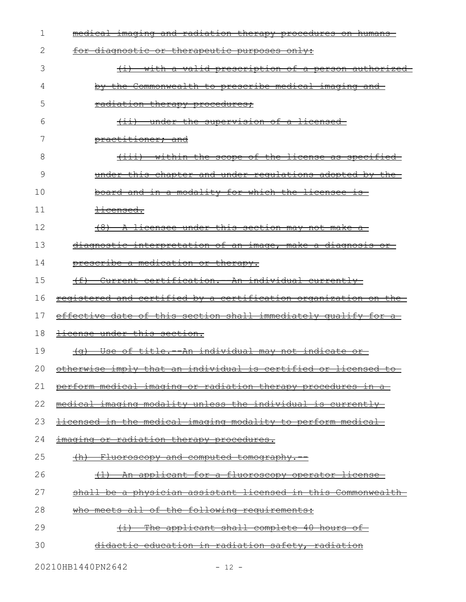| 1  | <u>medical imaging and radiation therapy procedures on humans-</u>                                                                                                                                                                                                                                                                                                                                                                                                                                                                                                                                                                                      |
|----|---------------------------------------------------------------------------------------------------------------------------------------------------------------------------------------------------------------------------------------------------------------------------------------------------------------------------------------------------------------------------------------------------------------------------------------------------------------------------------------------------------------------------------------------------------------------------------------------------------------------------------------------------------|
| 2  | diagnostic or therapeutic purposes only:                                                                                                                                                                                                                                                                                                                                                                                                                                                                                                                                                                                                                |
| 3  | <u>with a valid prescription of a person authorized-</u>                                                                                                                                                                                                                                                                                                                                                                                                                                                                                                                                                                                                |
| 4  | by the Commonwealth to prescribe medical imaging and                                                                                                                                                                                                                                                                                                                                                                                                                                                                                                                                                                                                    |
| 5  | radiation therapy procedures;                                                                                                                                                                                                                                                                                                                                                                                                                                                                                                                                                                                                                           |
| 6  | <del>(ii) under the supervision of a licensed-</del>                                                                                                                                                                                                                                                                                                                                                                                                                                                                                                                                                                                                    |
|    | practitioner; and                                                                                                                                                                                                                                                                                                                                                                                                                                                                                                                                                                                                                                       |
| 8  | within the scope of the license as specified<br>$\overbrace{ \quad }^{ \overbrace{ \quad }^{ \overbrace{ \quad }^{ \overbrace{ \quad }^{ \overline{ \quad }^{ \overline{ \quad }^{ \overline{ \quad }^{ \overline{ \quad }^{ \overline{ \quad }^{ \overline{ \quad }^{ \overline{ \quad }^{ \overline{ \quad }^{ \overline{ \quad }^{ \overline{ \quad }^{ \overline{ \quad }^{ \overline{ \quad }^{ \overline{ \quad }^{ \overline{ \quad }^{ \overline{ \quad }^{ \overline{ \quad }^{ \overline{ \quad }^{ \overline{ \quad }^{ \overline{ \quad }^{ \overline{ \quad }^{ \overline{ \quad }^{ \overline{ \quad }^{ \overline{ \quad }^{ \overline{$ |
| 9  | under this chapter and under requiations adopted by the                                                                                                                                                                                                                                                                                                                                                                                                                                                                                                                                                                                                 |
| 10 | board and in a modality for which the licensee is-                                                                                                                                                                                                                                                                                                                                                                                                                                                                                                                                                                                                      |
| 11 | <del>licensed.</del>                                                                                                                                                                                                                                                                                                                                                                                                                                                                                                                                                                                                                                    |
| 12 | (8) A licensee under this section may not make a                                                                                                                                                                                                                                                                                                                                                                                                                                                                                                                                                                                                        |
| 13 | diagnostic interpretation of an image, make a diagnosis or                                                                                                                                                                                                                                                                                                                                                                                                                                                                                                                                                                                              |
| 14 | prescribe a medication or therapy.                                                                                                                                                                                                                                                                                                                                                                                                                                                                                                                                                                                                                      |
| 15 | Current certification. - An individual currently                                                                                                                                                                                                                                                                                                                                                                                                                                                                                                                                                                                                        |
| 16 | registered and certified by a certification organization on the                                                                                                                                                                                                                                                                                                                                                                                                                                                                                                                                                                                         |
| 17 | effective date of this section shall immediately qualify for a                                                                                                                                                                                                                                                                                                                                                                                                                                                                                                                                                                                          |
| 18 | <del>license under this section.</del>                                                                                                                                                                                                                                                                                                                                                                                                                                                                                                                                                                                                                  |
| 19 | Use of title. - An individual may not indicate or<br><del>(a)</del>                                                                                                                                                                                                                                                                                                                                                                                                                                                                                                                                                                                     |
|    | 20 otherwise imply that an individual is certified or licensed to                                                                                                                                                                                                                                                                                                                                                                                                                                                                                                                                                                                       |
| 21 | perform medical imaging or radiation therapy procedures in a                                                                                                                                                                                                                                                                                                                                                                                                                                                                                                                                                                                            |
| 22 | medical imaging modality unless the individual is currently                                                                                                                                                                                                                                                                                                                                                                                                                                                                                                                                                                                             |
| 23 | <u>licensed in the medical imaging modality to perform medical-</u>                                                                                                                                                                                                                                                                                                                                                                                                                                                                                                                                                                                     |
| 24 | imaging or radiation therapy procedures.                                                                                                                                                                                                                                                                                                                                                                                                                                                                                                                                                                                                                |
| 25 | <u>(h) Fluoroscopy and computed tomography.--</u>                                                                                                                                                                                                                                                                                                                                                                                                                                                                                                                                                                                                       |
| 26 | (1) An applicant for a fluoroscopy operator license                                                                                                                                                                                                                                                                                                                                                                                                                                                                                                                                                                                                     |
| 27 | shall be a physician assistant licensed in this Commonwealth                                                                                                                                                                                                                                                                                                                                                                                                                                                                                                                                                                                            |
| 28 | who meets all of the following requirements:                                                                                                                                                                                                                                                                                                                                                                                                                                                                                                                                                                                                            |
| 29 | $(i)$ The applicant shall complete 40 hours of                                                                                                                                                                                                                                                                                                                                                                                                                                                                                                                                                                                                          |
| 30 | didactic education in radiation safety, radiation                                                                                                                                                                                                                                                                                                                                                                                                                                                                                                                                                                                                       |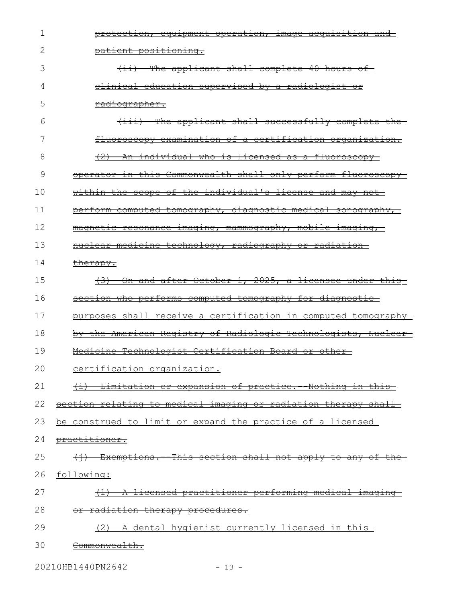| 1  | protection, equipment operation, image acquisition and         |
|----|----------------------------------------------------------------|
| 2  | patient positioning.                                           |
| 3  | The applicant shall complete 40 hours of-<br>$\leftarrow$      |
| 4  | <u>clinical education supervised by a radiologist or</u>       |
| 5  | <del>radiographer.</del>                                       |
| 6  | (iii) The applicant shall successfully complete the            |
| 7  | fluoroscopy examination of a certification organization.       |
| 8  | (2) An individual who is licensed as a fluoroscopy             |
| 9  | operator in this Commonwealth shall only perform fluoroscopy   |
| 10 | within the scope of the individual's license and may not-      |
| 11 | perform computed tomography, diagnostic medical sonography,    |
| 12 | magnetic resonance imaging, mammography, mobile imaging,       |
| 13 | nuclear medicine technology, radiography or radiation-         |
| 14 | therapy.                                                       |
| 15 | (3) On and after October 1, 2025, a licensee under this        |
| 16 | section who performs computed tomography for diagnostic        |
| 17 | purposes shall receive a certification in computed tomography  |
| 18 | by the American Registry of Radiologic Technologists, Nuclear  |
| 19 | Medicine Technologist Certification Board or other-            |
| 20 | certification organization.                                    |
| 21 | (i) Limitation or expansion of practice. Nothing in this       |
| 22 | section relating to medical imaging or radiation therapy shall |
| 23 | be construed to limit or expand the practice of a licensed     |
| 24 | practitioner.                                                  |
| 25 | (i) Exemptions. This section shall not apply to any of the     |
| 26 | following:                                                     |
| 27 | A licensed practitioner performing medical imaging-            |
| 28 | or radiation therapy procedures.                               |
| 29 |                                                                |
|    | <u>A dental hygienist currently licensed in this-</u>          |

20210HB1440PN2642 - 13 -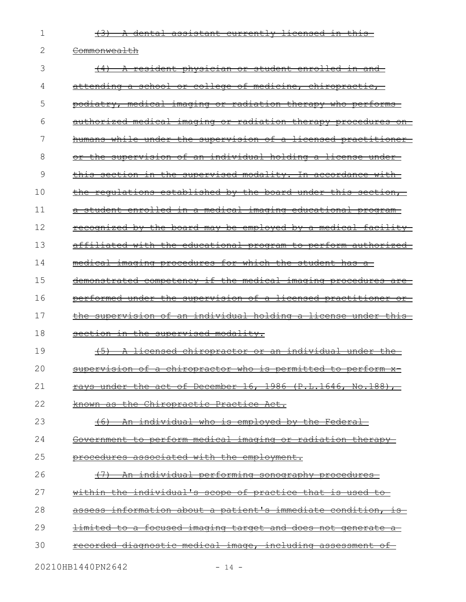(3) A dental assistant currently licensed in this

2 <del>Commonwealth</del>

1

| 3  | (4) A resident physician or student enrolled in and-                         |
|----|------------------------------------------------------------------------------|
| 4  | attending a school or college of medicine, chiropractic,                     |
| 5  | podiatry, medical imaging or radiation therapy who performs                  |
| 6  | authorized medical imaging or radiation therapy procedures on                |
| 7  | humans while under the supervision of a licensed practitioner                |
| 8  | or the supervision of an individual holding a license under                  |
| 9  | this section in the supervised modality. In accordance with                  |
| 10 | the regulations established by the board under this section,                 |
| 11 | student enrolled in a medical imaging educational program                    |
| 12 | recognized by the board may be employed by a medical facility                |
| 13 | affiliated with the educational program to perform authorized                |
| 14 | medical imaging procedures for which the student has                         |
| 15 | demonstrated competency if the medical imaging procedures are                |
| 16 | performed under the supervision of a licensed practitioner<br><del>or−</del> |
| 17 | the supervision of an individual holding a license under this                |
| 18 | section in the supervised modality.                                          |
| 19 | $+5$<br>A licensed chiropractor or an individual under the                   |
| 20 | supervision of a chiropractor who is permitted to perform x-                 |
| 21 | under the act of December $16, 1986$ (P.L.1646, No.188),<br><del>ravs</del>  |
| 22 | known as the Chiropractic Practice Act.                                      |
| 23 | An individual who is employed by the Federal<br>$+6$                         |
| 24 | Government to perform medical imaging or radiation therapy                   |
| 25 | procedures associated with the employment.                                   |
| 26 | (7) An individual performing sonography procedures                           |
| 27 | within the individual's scope of practice that is used to                    |
| 28 | assess information about a patient's immediate condition, is                 |
| 29 | limited to a focused imaging target and does not generate a                  |
| 30 | <u>recorded diagnostic medical image, including assessment of</u>            |

20210HB1440PN2642 - 14 -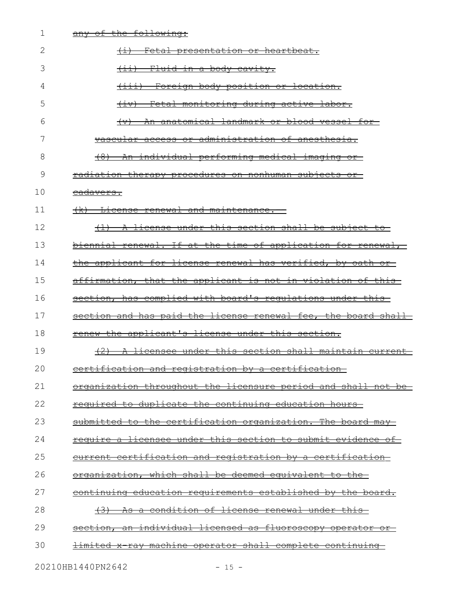| 1  | any of the following:                                                  |
|----|------------------------------------------------------------------------|
| 2  | Fetal presentation or heartbeat.<br>$\overline{)}$                     |
| 3  | <u>Fluid in a body cavity.</u>                                         |
| 4  | Foreign body position or location.<br>$\overbrace{ \pm \pm \pm}$       |
| 5  | Fetal monitoring during active labor.<br>$\overline{(+\pm \vee)}$      |
| 6  | An anatomical landmark or blood vessel for-<br>$\leftarrow$            |
| 7  | vascular access or administration of anesthesia.                       |
| 8  | An individual performing medical imaging or                            |
| 9  | radiation therapy procedures on nonhuman subjects or                   |
| 10 | <del>cadavers.</del>                                                   |
| 11 | (k) License renewal and maintenance.                                   |
| 12 | (1) A license under this section shall be subject to                   |
| 13 | biennial renewal. If at the time of application for renewal,           |
| 14 | the applicant for license renewal has verified, by oath or             |
| 15 | affirmation, that the applicant is not in violation of this            |
| 16 | section, has complied with board's regulations under this              |
| 17 | section and has paid the license renewal fee, the board shall          |
| 18 | renew the applicant's license under this section.                      |
| 19 | A licensee under this section shall maintain current                   |
| 20 | certification and registration by a certification                      |
| 21 | <u>organization throughout the licensure period and shall not be-</u>  |
| 22 | required to duplicate the continuing education hours                   |
| 23 | submitted to the certification organization. The board may             |
| 24 | <u>require a licensee under this section to submit evidence of-</u>    |
| 25 | current certification and registration by a certification              |
| 26 | organization, which shall be deemed equivalent to the                  |
| 27 | <u>continuing education requirements established by the board.</u>     |
| 28 | <u>As a condition of license renewal under this </u><br><del>(3)</del> |
| 29 | section, an individual licensed as fluoroscopy operator or             |
| 30 | <u>limited x ray machine operator shall complete continuing-</u>       |
|    | 20210HB1440PN2642<br>$-15 -$                                           |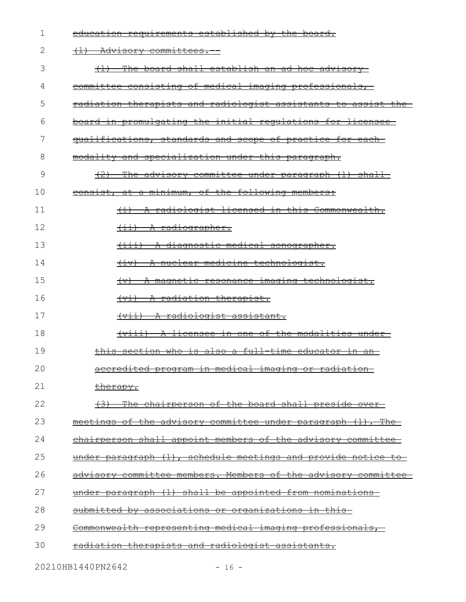| 1  | education requirements established by the board.                     |
|----|----------------------------------------------------------------------|
| 2  | $\overline{a}$<br><del>- Advisory committees.</del>                  |
| 3  | The board shall establish an ad hoc advisory-                        |
| 4  | committee consisting of medical imaging professionals,               |
| 5  | <u>radiation therapists and radiologist assistants to assist the</u> |
| 6  | board in promulgating the initial requlations for licensee           |
| 7  | qualifications, standards and scope of practice for each             |
| 8  | modality and specialization under this paragraph.                    |
| 9  | (2) The advisory committee under paragraph (1) shall                 |
| 10 | consist, at a minimum, of the following members:                     |
| 11 | (i) A radiologist licensed in this Commonwealth.                     |
| 12 | (ii) A radiographer.                                                 |
| 13 | (iii) A diagnostic medical sonographer.                              |
| 14 | (iv) A nuclear medicine technologist.                                |
| 15 | (v) A magnetic resonance imaging technologist.                       |
| 16 | (vi) A radiation therapist.                                          |
| 17 | (vii) A radiologist assistant.                                       |
| 18 | (viii) A licensee in one of the modalities under-                    |
| 19 | this section who is also a full time educator in an-                 |
| 20 | accredited program in medical imaging or radiation                   |
| 21 | <u>therapy.</u>                                                      |
| 22 | (3) The chairperson of the board shall preside over                  |
| 23 | meetings of the advisory committee under paragraph (1). The          |
| 24 | chairperson shall appoint members of the advisory committee          |
| 25 | under paragraph (1), schedule meetings and provide notice to         |
| 26 | advisory committee members. Members of the advisory committee        |
| 27 | under paragraph (1) shall be appointed from nominations              |
| 28 | submitted by associations or organizations in this                   |
| 29 | Commonwealth representing medical imaging professionals,             |
| 30 | <u>radiation therapists and radiologist assistants.</u>              |
|    |                                                                      |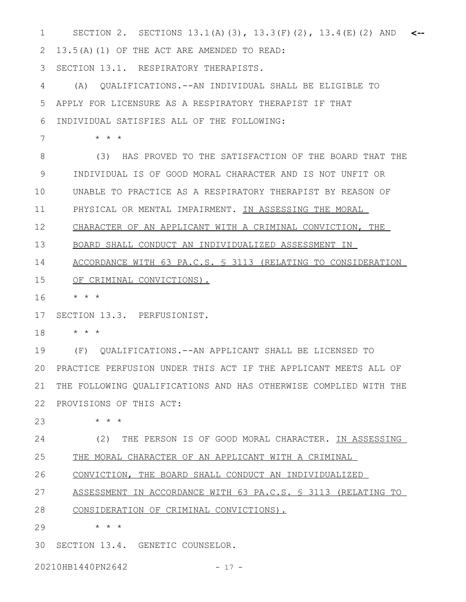SECTION 2. SECTIONS 13.1(A)(3), 13.3(F)(2), 13.4(E)(2) AND 1 **<--** 13.5(A)(1) OF THE ACT ARE AMENDED TO READ: SECTION 13.1. RESPIRATORY THERAPISTS. (A) QUALIFICATIONS.--AN INDIVIDUAL SHALL BE ELIGIBLE TO APPLY FOR LICENSURE AS A RESPIRATORY THERAPIST IF THAT INDIVIDUAL SATISFIES ALL OF THE FOLLOWING: \* \* \* (3) HAS PROVED TO THE SATISFACTION OF THE BOARD THAT THE INDIVIDUAL IS OF GOOD MORAL CHARACTER AND IS NOT UNFIT OR UNABLE TO PRACTICE AS A RESPIRATORY THERAPIST BY REASON OF PHYSICAL OR MENTAL IMPAIRMENT. IN ASSESSING THE MORAL CHARACTER OF AN APPLICANT WITH A CRIMINAL CONVICTION, THE BOARD SHALL CONDUCT AN INDIVIDUALIZED ASSESSMENT IN ACCORDANCE WITH 63 PA.C.S. § 3113 (RELATING TO CONSIDERATION OF CRIMINAL CONVICTIONS). \* \* \* SECTION 13.3. PERFUSIONIST. \* \* \* (F) QUALIFICATIONS.--AN APPLICANT SHALL BE LICENSED TO PRACTICE PERFUSION UNDER THIS ACT IF THE APPLICANT MEETS ALL OF 20 THE FOLLOWING QUALIFICATIONS AND HAS OTHERWISE COMPLIED WITH THE PROVISIONS OF THIS ACT: \* \* \* (2) THE PERSON IS OF GOOD MORAL CHARACTER. IN ASSESSING THE MORAL CHARACTER OF AN APPLICANT WITH A CRIMINAL CONVICTION, THE BOARD SHALL CONDUCT AN INDIVIDUALIZED ASSESSMENT IN ACCORDANCE WITH 63 PA.C.S. § 3113 (RELATING TO CONSIDERATION OF CRIMINAL CONVICTIONS). \* \* \* 30 SECTION 13.4. GENETIC COUNSELOR. 2 3 4 5 6 7 8 9 10 11 12 13 14 15 16 17 18 19 21 22 23 24 25 26 27 28 29

20210HB1440PN2642 - 17 -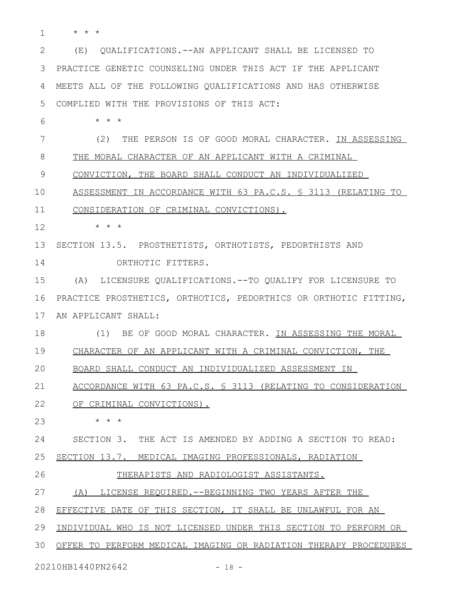\* \* \* 1

(E) QUALIFICATIONS.--AN APPLICANT SHALL BE LICENSED TO PRACTICE GENETIC COUNSELING UNDER THIS ACT IF THE APPLICANT MEETS ALL OF THE FOLLOWING QUALIFICATIONS AND HAS OTHERWISE COMPLIED WITH THE PROVISIONS OF THIS ACT: 2 3 4 5

\* \* \* 6

(2) THE PERSON IS OF GOOD MORAL CHARACTER. IN ASSESSING 7

THE MORAL CHARACTER OF AN APPLICANT WITH A CRIMINAL 8

CONVICTION, THE BOARD SHALL CONDUCT AN INDIVIDUALIZED 9

 ASSESSMENT IN ACCORDANCE WITH 63 PA.C.S. § 3113 (RELATING TO 10

CONSIDERATION OF CRIMINAL CONVICTIONS). 11

\* \* \* 12

SECTION 13.5. PROSTHETISTS, ORTHOTISTS, PEDORTHISTS AND 13

ORTHOTIC FITTERS. 14

(A) LICENSURE QUALIFICATIONS.--TO QUALIFY FOR LICENSURE TO PRACTICE PROSTHETICS, ORTHOTICS, PEDORTHICS OR ORTHOTIC FITTING, AN APPLICANT SHALL: 15 16 17

(1) BE OF GOOD MORAL CHARACTER. IN ASSESSING THE MORAL 18

CHARACTER OF AN APPLICANT WITH A CRIMINAL CONVICTION, THE 19

BOARD SHALL CONDUCT AN INDIVIDUALIZED ASSESSMENT IN 20

 ACCORDANCE WITH 63 PA.C.S. § 3113 (RELATING TO CONSIDERATION 21

OF CRIMINAL CONVICTIONS). 22

\* \* \* 23

SECTION 3. THE ACT IS AMENDED BY ADDING A SECTION TO READ: 24

SECTION 13.7. MEDICAL IMAGING PROFESSIONALS, RADIATION 25

THERAPISTS AND RADIOLOGIST ASSISTANTS. 26

 (A) LICENSE REQUIRED.--BEGINNING TWO YEARS AFTER THE 27

EFFECTIVE DATE OF THIS SECTION, IT SHALL BE UNLAWFUL FOR AN 28

INDIVIDUAL WHO IS NOT LICENSED UNDER THIS SECTION TO PERFORM OR 29

OFFER TO PERFORM MEDICAL IMAGING OR RADIATION THERAPY PROCEDURES 30

20210HB1440PN2642 - 18 -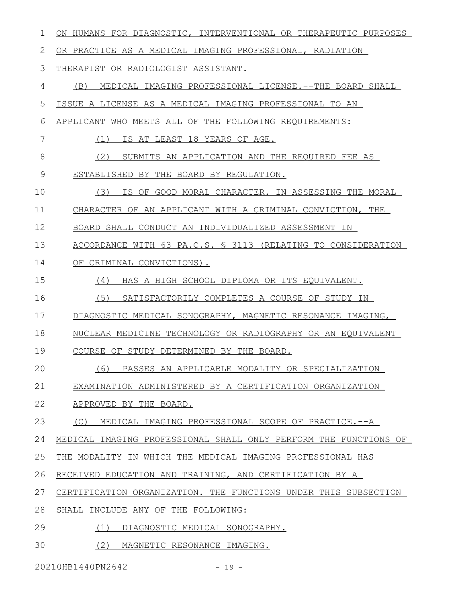| 1             | ON HUMANS FOR DIAGNOSTIC, INTERVENTIONAL OR THERAPEUTIC PURPOSES |
|---------------|------------------------------------------------------------------|
| 2             | OR PRACTICE AS A MEDICAL IMAGING PROFESSIONAL, RADIATION         |
| 3             | THERAPIST OR RADIOLOGIST ASSISTANT.                              |
| 4             | MEDICAL IMAGING PROFESSIONAL LICENSE. -- THE BOARD SHALL<br>(B)  |
| 5             | ISSUE A LICENSE AS A MEDICAL IMAGING PROFESSIONAL TO AN          |
| 6             | APPLICANT WHO MEETS ALL OF THE FOLLOWING REQUIREMENTS:           |
| 7             | IS AT LEAST 18 YEARS OF AGE.<br>(1)                              |
| $8\,$         | (2)<br>SUBMITS AN APPLICATION AND THE REQUIRED FEE AS            |
| $\mathcal{G}$ | ESTABLISHED BY THE BOARD BY REGULATION.                          |
| 10            | (3)<br>IS OF GOOD MORAL CHARACTER. IN ASSESSING THE MORAL        |
| 11            | CHARACTER OF AN APPLICANT WITH A CRIMINAL CONVICTION, THE        |
| 12            | BOARD SHALL CONDUCT AN INDIVIDUALIZED ASSESSMENT IN              |
| 13            | ACCORDANCE WITH 63 PA.C.S. § 3113 (RELATING TO CONSIDERATION     |
| 14            | OF CRIMINAL CONVICTIONS).                                        |
| 15            | (4)<br>HAS A HIGH SCHOOL DIPLOMA OR ITS EQUIVALENT.              |
| 16            | (5)<br>SATISFACTORILY COMPLETES A COURSE OF STUDY IN             |
| 17            | DIAGNOSTIC MEDICAL SONOGRAPHY, MAGNETIC RESONANCE IMAGING,       |
| 18            | NUCLEAR MEDICINE TECHNOLOGY OR RADIOGRAPHY OR AN EQUIVALENT      |
| 19            | COURSE OF STUDY DETERMINED BY THE BOARD.                         |
| 20            | PASSES AN APPLICABLE MODALITY OR SPECIALIZATION<br>(6)           |
| 21            | EXAMINATION ADMINISTERED BY A CERTIFICATION ORGANIZATION         |
| 22            | APPROVED BY THE BOARD.                                           |
| 23            | (C) MEDICAL IMAGING PROFESSIONAL SCOPE OF PRACTICE.--A           |
| 24            | MEDICAL IMAGING PROFESSIONAL SHALL ONLY PERFORM THE FUNCTIONS OF |
| 25            | THE MODALITY IN WHICH THE MEDICAL IMAGING PROFESSIONAL HAS       |
| 26            | RECEIVED EDUCATION AND TRAINING, AND CERTIFICATION BY A          |
| 27            | CERTIFICATION ORGANIZATION. THE FUNCTIONS UNDER THIS SUBSECTION  |
| 28            | SHALL INCLUDE ANY OF THE FOLLOWING:                              |
| 29            | (1)<br>DIAGNOSTIC MEDICAL SONOGRAPHY.                            |
| 30            | (2)<br>MAGNETIC RESONANCE IMAGING.                               |
|               |                                                                  |

20210HB1440PN2642 - 19 -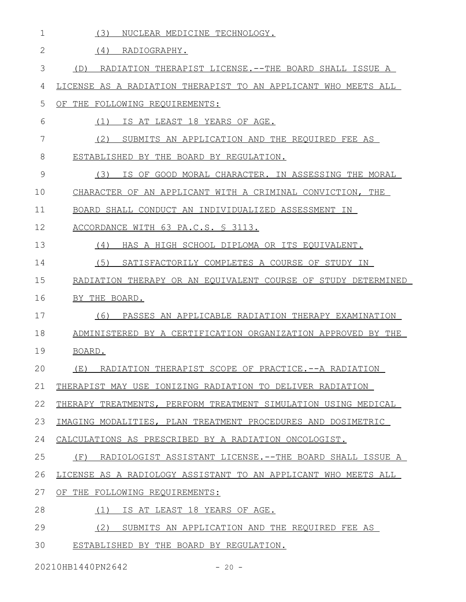| $\mathbf 1$ | (3)<br>NUCLEAR MEDICINE TECHNOLOGY.                            |
|-------------|----------------------------------------------------------------|
| 2           | (4)<br>RADIOGRAPHY.                                            |
| 3           | RADIATION THERAPIST LICENSE. -- THE BOARD SHALL ISSUE A<br>(D) |
| 4           | LICENSE AS A RADIATION THERAPIST TO AN APPLICANT WHO MEETS ALL |
| 5           | OF THE FOLLOWING REQUIREMENTS:                                 |
| 6           | IS AT LEAST 18 YEARS OF AGE.<br>(1)                            |
| 7           | (2)<br>SUBMITS AN APPLICATION AND THE REQUIRED FEE AS          |
| 8           | ESTABLISHED BY THE BOARD BY REGULATION.                        |
| 9           | (3)<br>IS OF GOOD MORAL CHARACTER. IN ASSESSING THE MORAL      |
| 10          | CHARACTER OF AN APPLICANT WITH A CRIMINAL CONVICTION, THE      |
| 11          | BOARD SHALL CONDUCT AN INDIVIDUALIZED ASSESSMENT IN            |
| 12          | ACCORDANCE WITH 63 PA.C.S. § 3113.                             |
| 13          | (4)<br>HAS A HIGH SCHOOL DIPLOMA OR ITS EQUIVALENT.            |
| 14          | (5)<br>SATISFACTORILY COMPLETES A COURSE OF STUDY IN           |
| 15          | RADIATION THERAPY OR AN EQUIVALENT COURSE OF STUDY DETERMINED  |
| 16          | BY THE BOARD.                                                  |
| 17          | (6)<br>PASSES AN APPLICABLE RADIATION THERAPY EXAMINATION      |
| 18          | ADMINISTERED BY A CERTIFICATION ORGANIZATION APPROVED BY THE   |
| 19          | BOARD.                                                         |
| 20          | (E) RADIATION THERAPIST SCOPE OF PRACTICE.--A RADIATION        |
| 21          | THERAPIST MAY USE IONIZING RADIATION TO DELIVER RADIATION      |
| 22          | THERAPY TREATMENTS, PERFORM TREATMENT SIMULATION USING MEDICAL |
| 23          | IMAGING MODALITIES, PLAN TREATMENT PROCEDURES AND DOSIMETRIC   |
| 24          | CALCULATIONS AS PRESCRIBED BY A RADIATION ONCOLOGIST.          |
| 25          | RADIOLOGIST ASSISTANT LICENSE.--THE BOARD SHALL ISSUE A<br>(F) |
| 26          | LICENSE AS A RADIOLOGY ASSISTANT TO AN APPLICANT WHO MEETS ALL |
| 27          | OF THE FOLLOWING REQUIREMENTS:                                 |
| 28          | IS AT LEAST 18 YEARS OF AGE.<br>(1)                            |
| 29          | (2)<br>SUBMITS AN APPLICATION AND THE REQUIRED FEE AS          |
| 30          | ESTABLISHED BY THE BOARD BY REGULATION.                        |

20210HB1440PN2642 - 20 -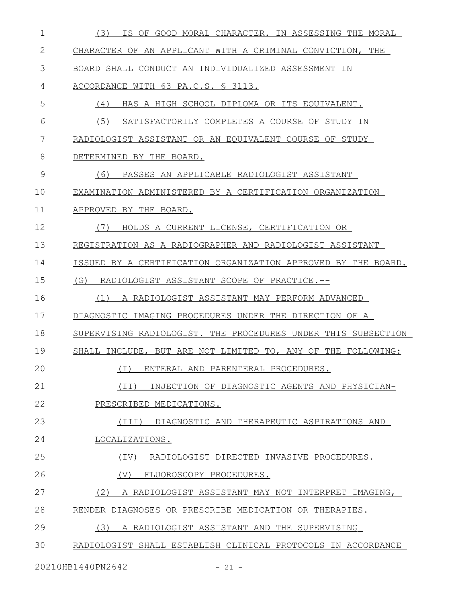| $\mathbf 1$ | IS OF GOOD MORAL CHARACTER. IN ASSESSING THE MORAL<br>(3)     |
|-------------|---------------------------------------------------------------|
| 2           | CHARACTER OF AN APPLICANT WITH A CRIMINAL CONVICTION, THE     |
| 3           | BOARD SHALL CONDUCT AN INDIVIDUALIZED ASSESSMENT IN           |
| 4           | ACCORDANCE WITH 63 PA.C.S. § 3113.                            |
| 5           | (4)<br>HAS A HIGH SCHOOL DIPLOMA OR ITS EQUIVALENT.           |
| 6           | (5)<br>SATISFACTORILY COMPLETES A COURSE OF STUDY IN          |
| 7           | RADIOLOGIST ASSISTANT OR AN EQUIVALENT COURSE OF STUDY        |
| 8           | DETERMINED BY THE BOARD.                                      |
| 9           | (6)<br>PASSES AN APPLICABLE RADIOLOGIST ASSISTANT             |
| 10          | EXAMINATION ADMINISTERED BY A CERTIFICATION ORGANIZATION      |
| 11          | APPROVED BY THE BOARD.                                        |
| 12          | HOLDS A CURRENT LICENSE, CERTIFICATION OR<br>(7)              |
| 13          | REGISTRATION AS A RADIOGRAPHER AND RADIOLOGIST ASSISTANT      |
| 14          | ISSUED BY A CERTIFICATION ORGANIZATION APPROVED BY THE BOARD. |
| 15          | (G)<br>RADIOLOGIST ASSISTANT SCOPE OF PRACTICE.--             |
| 16          | A RADIOLOGIST ASSISTANT MAY PERFORM ADVANCED<br>(1)           |
| 17          | DIAGNOSTIC IMAGING PROCEDURES UNDER THE DIRECTION OF A        |
| 18          | SUPERVISING RADIOLOGIST. THE PROCEDURES UNDER THIS SUBSECTION |
| 19          | SHALL INCLUDE, BUT ARE NOT LIMITED TO, ANY OF THE FOLLOWING:  |
| 20          | (I) ENTERAL AND PARENTERAL PROCEDURES.                        |
| 21          | INJECTION OF DIAGNOSTIC AGENTS AND PHYSICIAN-<br>(II)         |
| 22          | PRESCRIBED MEDICATIONS.                                       |
| 23          | DIAGNOSTIC AND THERAPEUTIC ASPIRATIONS AND<br>(III)           |
| 24          | LOCALIZATIONS.                                                |
| 25          | RADIOLOGIST DIRECTED INVASIVE PROCEDURES.<br>(IV)             |
| 26          | (V)<br>FLUOROSCOPY PROCEDURES.                                |
| 27          | (2)<br>A RADIOLOGIST ASSISTANT MAY NOT INTERPRET IMAGING,     |
| 28          | RENDER DIAGNOSES OR PRESCRIBE MEDICATION OR THERAPIES.        |
| 29          | (3)<br>A RADIOLOGIST ASSISTANT AND THE SUPERVISING            |
| 30          | RADIOLOGIST SHALL ESTABLISH CLINICAL PROTOCOLS IN ACCORDANCE  |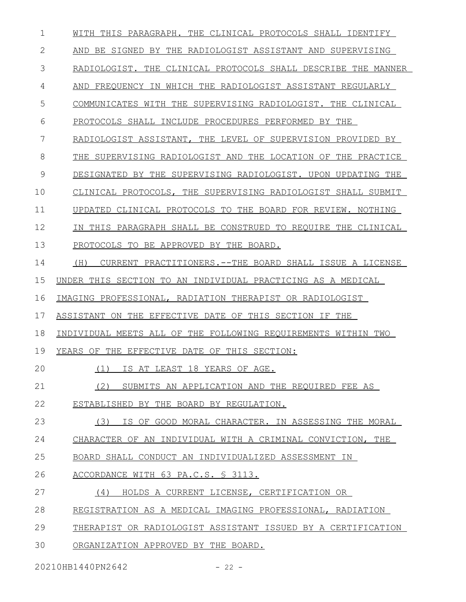| $\mathbf 1$ | WITH THIS PARAGRAPH. THE CLINICAL PROTOCOLS SHALL IDENTIFY     |
|-------------|----------------------------------------------------------------|
| 2           | AND BE SIGNED BY THE RADIOLOGIST ASSISTANT AND SUPERVISING     |
| 3           | RADIOLOGIST. THE CLINICAL PROTOCOLS SHALL DESCRIBE THE MANNER  |
| 4           | AND FREQUENCY IN WHICH THE RADIOLOGIST ASSISTANT REGULARLY     |
| 5           | COMMUNICATES WITH THE SUPERVISING RADIOLOGIST. THE CLINICAL    |
| 6           | PROTOCOLS SHALL INCLUDE PROCEDURES PERFORMED BY THE            |
| 7           | RADIOLOGIST ASSISTANT, THE LEVEL OF SUPERVISION PROVIDED BY    |
| 8           | THE SUPERVISING RADIOLOGIST AND THE LOCATION OF THE PRACTICE   |
| 9           | DESIGNATED BY THE SUPERVISING RADIOLOGIST. UPON UPDATING THE   |
| 10          | CLINICAL PROTOCOLS, THE SUPERVISING RADIOLOGIST SHALL SUBMIT   |
| 11          | UPDATED CLINICAL PROTOCOLS TO THE BOARD FOR REVIEW. NOTHING    |
| 12          | IN THIS PARAGRAPH SHALL BE CONSTRUED TO REOUIRE THE CLINICAL   |
| 13          | PROTOCOLS TO BE APPROVED BY THE BOARD.                         |
| 14          | CURRENT PRACTITIONERS.--THE BOARD SHALL ISSUE A LICENSE<br>(H) |
| 15          | UNDER THIS SECTION TO AN INDIVIDUAL PRACTICING AS A MEDICAL    |
| 16          | IMAGING PROFESSIONAL, RADIATION THERAPIST OR RADIOLOGIST       |
| 17          | ASSISTANT ON THE EFFECTIVE DATE OF THIS SECTION IF THE         |
| 18          | INDIVIDUAL MEETS ALL OF THE FOLLOWING REQUIREMENTS WITHIN TWO  |
| 19          | YEARS OF THE EFFECTIVE DATE OF THIS SECTION:                   |
| 20          | (1) IS AT LEAST 18 YEARS OF AGE.                               |
| 21          | (2)<br>SUBMITS AN APPLICATION AND THE REOUIRED FEE AS          |
| 22          | ESTABLISHED BY THE BOARD BY REGULATION.                        |
| 23          | IS OF GOOD MORAL CHARACTER. IN ASSESSING THE MORAL<br>(3)      |
| 24          | CHARACTER OF AN INDIVIDUAL WITH A CRIMINAL CONVICTION, THE     |
| 25          | BOARD SHALL CONDUCT AN INDIVIDUALIZED ASSESSMENT IN            |
| 26          | ACCORDANCE WITH 63 PA.C.S. § 3113.                             |
| 27          | HOLDS A CURRENT LICENSE, CERTIFICATION OR<br>(4)               |
| 28          | REGISTRATION AS A MEDICAL IMAGING PROFESSIONAL, RADIATION      |
| 29          | THERAPIST OR RADIOLOGIST ASSISTANT ISSUED BY A CERTIFICATION   |
| 30          | ORGANIZATION APPROVED BY THE BOARD.                            |

20210HB1440PN2642 - 22 -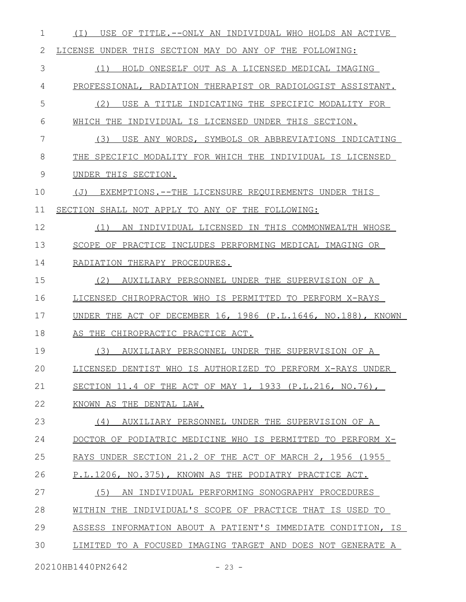(I) USE OF TITLE.--ONLY AN INDIVIDUAL WHO HOLDS AN ACTIVE LICENSE UNDER THIS SECTION MAY DO ANY OF THE FOLLOWING: (1) HOLD ONESELF OUT AS A LICENSED MEDICAL IMAGING PROFESSIONAL, RADIATION THERAPIST OR RADIOLOGIST ASSISTANT. (2) USE A TITLE INDICATING THE SPECIFIC MODALITY FOR WHICH THE INDIVIDUAL IS LICENSED UNDER THIS SECTION. (3) USE ANY WORDS, SYMBOLS OR ABBREVIATIONS INDICATING THE SPECIFIC MODALITY FOR WHICH THE INDIVIDUAL IS LICENSED UNDER THIS SECTION. (J) EXEMPTIONS.--THE LICENSURE REQUIREMENTS UNDER THIS SECTION SHALL NOT APPLY TO ANY OF THE FOLLOWING: (1) AN INDIVIDUAL LICENSED IN THIS COMMONWEALTH WHOSE SCOPE OF PRACTICE INCLUDES PERFORMING MEDICAL IMAGING OR RADIATION THERAPY PROCEDURES. (2) AUXILIARY PERSONNEL UNDER THE SUPERVISION OF A LICENSED CHIROPRACTOR WHO IS PERMITTED TO PERFORM X-RAYS UNDER THE ACT OF DECEMBER 16, 1986 (P.L.1646, NO.188), KNOWN AS THE CHIROPRACTIC PRACTICE ACT. (3) AUXILIARY PERSONNEL UNDER THE SUPERVISION OF A LICENSED DENTIST WHO IS AUTHORIZED TO PERFORM X-RAYS UNDER SECTION 11.4 OF THE ACT OF MAY 1, 1933 (P.L.216, NO.76), KNOWN AS THE DENTAL LAW. (4) AUXILIARY PERSONNEL UNDER THE SUPERVISION OF A DOCTOR OF PODIATRIC MEDICINE WHO IS PERMITTED TO PERFORM X- RAYS UNDER SECTION 21.2 OF THE ACT OF MARCH 2, 1956 (1955 P.L.1206, NO.375), KNOWN AS THE PODIATRY PRACTICE ACT. (5) AN INDIVIDUAL PERFORMING SONOGRAPHY PROCEDURES WITHIN THE INDIVIDUAL'S SCOPE OF PRACTICE THAT IS USED TO ASSESS INFORMATION ABOUT A PATIENT'S IMMEDIATE CONDITION, IS LIMITED TO A FOCUSED IMAGING TARGET AND DOES NOT GENERATE A 1 2 3 4 5 6 7 8 9 10 11 12 13 14 15 16 17 18 19 20 21 22 23 24 25 26 27 28 29 30

20210HB1440PN2642 - 23 -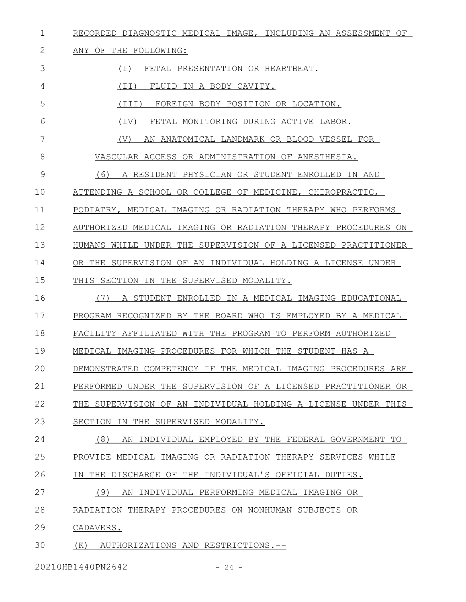RECORDED DIAGNOSTIC MEDICAL IMAGE, INCLUDING AN ASSESSMENT OF 1

## ANY OF THE FOLLOWING: 2

3

6

7

(I) FETAL PRESENTATION OR HEARTBEAT.

(II) FLUID IN A BODY CAVITY. 4

(III) FOREIGN BODY POSITION OR LOCATION. 5

(IV) FETAL MONITORING DURING ACTIVE LABOR.

(V) AN ANATOMICAL LANDMARK OR BLOOD VESSEL FOR

VASCULAR ACCESS OR ADMINISTRATION OF ANESTHESIA. 8

(6) A RESIDENT PHYSICIAN OR STUDENT ENROLLED IN AND 9

ATTENDING A SCHOOL OR COLLEGE OF MEDICINE, CHIROPRACTIC, 10

PODIATRY, MEDICAL IMAGING OR RADIATION THERAPY WHO PERFORMS 11

AUTHORIZED MEDICAL IMAGING OR RADIATION THERAPY PROCEDURES ON 12

HUMANS WHILE UNDER THE SUPERVISION OF A LICENSED PRACTITIONER 13

OR THE SUPERVISION OF AN INDIVIDUAL HOLDING A LICENSE UNDER 14

THIS SECTION IN THE SUPERVISED MODALITY. 15

(7) A STUDENT ENROLLED IN A MEDICAL IMAGING EDUCATIONAL PROGRAM RECOGNIZED BY THE BOARD WHO IS EMPLOYED BY A MEDICAL 16 17

FACILITY AFFILIATED WITH THE PROGRAM TO PERFORM AUTHORIZED 18

MEDICAL IMAGING PROCEDURES FOR WHICH THE STUDENT HAS A 19

DEMONSTRATED COMPETENCY IF THE MEDICAL IMAGING PROCEDURES ARE 20

PERFORMED UNDER THE SUPERVISION OF A LICENSED PRACTITIONER OR 21

THE SUPERVISION OF AN INDIVIDUAL HOLDING A LICENSE UNDER THIS 22

SECTION IN THE SUPERVISED MODALITY. 23

(8) AN INDIVIDUAL EMPLOYED BY THE FEDERAL GOVERNMENT TO 24

PROVIDE MEDICAL IMAGING OR RADIATION THERAPY SERVICES WHILE 25

IN THE DISCHARGE OF THE INDIVIDUAL'S OFFICIAL DUTIES. 26

(9) AN INDIVIDUAL PERFORMING MEDICAL IMAGING OR 27

RADIATION THERAPY PROCEDURES ON NONHUMAN SUBJECTS OR 28

CADAVERS. 29

 (K) AUTHORIZATIONS AND RESTRICTIONS.-- 30

20210HB1440PN2642 - 24 -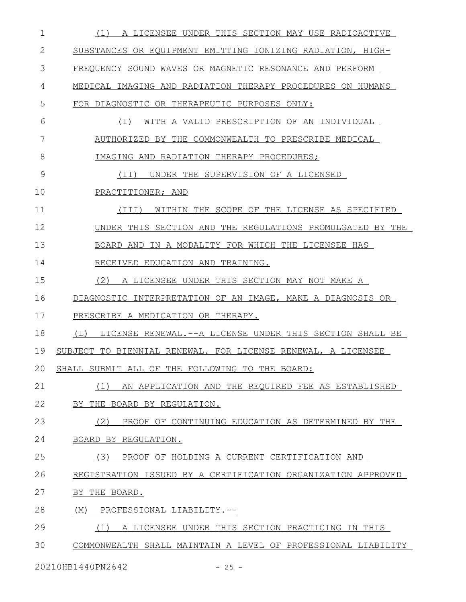| 1  | (1)<br>A LICENSEE UNDER THIS SECTION MAY USE RADIOACTIVE         |
|----|------------------------------------------------------------------|
| 2  | SUBSTANCES OR EQUIPMENT EMITTING IONIZING RADIATION, HIGH-       |
| 3  | FREQUENCY SOUND WAVES OR MAGNETIC RESONANCE AND PERFORM          |
| 4  | MEDICAL IMAGING AND RADIATION THERAPY PROCEDURES ON HUMANS       |
| 5  | FOR DIAGNOSTIC OR THERAPEUTIC PURPOSES ONLY:                     |
| 6  | WITH A VALID PRESCRIPTION OF AN INDIVIDUAL<br>( I )              |
| 7  | AUTHORIZED BY THE COMMONWEALTH TO PRESCRIBE MEDICAL              |
| 8  | IMAGING AND RADIATION THERAPY PROCEDURES;                        |
| 9  | UNDER THE SUPERVISION OF A LICENSED<br>(II)                      |
| 10 | PRACTITIONER; AND                                                |
| 11 | WITHIN THE SCOPE OF THE LICENSE AS SPECIFIED<br>(TII)            |
| 12 | UNDER THIS SECTION AND THE REGULATIONS PROMULGATED BY THE        |
| 13 | BOARD AND IN A MODALITY FOR WHICH THE LICENSEE HAS               |
| 14 | RECEIVED EDUCATION AND TRAINING.                                 |
| 15 | (2)<br>A LICENSEE UNDER THIS SECTION MAY NOT MAKE A              |
| 16 | DIAGNOSTIC INTERPRETATION OF AN IMAGE, MAKE A DIAGNOSIS OR       |
| 17 | PRESCRIBE A MEDICATION OR THERAPY.                               |
| 18 | LICENSE RENEWAL. -- A LICENSE UNDER THIS SECTION SHALL BE<br>(L) |
| 19 | SUBJECT TO BIENNIAL RENEWAL. FOR LICENSE RENEWAL, A LICENSEE     |
| 20 | SHALL SUBMIT ALL OF THE FOLLOWING TO THE BOARD:                  |
| 21 | (1)<br>AN APPLICATION AND THE REQUIRED FEE AS ESTABLISHED        |
| 22 | BY THE BOARD BY REGULATION.                                      |
| 23 | (2)<br>PROOF OF CONTINUING EDUCATION AS DETERMINED BY THE        |
| 24 | BOARD BY REGULATION.                                             |
| 25 | (3)<br>PROOF OF HOLDING A CURRENT CERTIFICATION AND              |
| 26 | REGISTRATION ISSUED BY A CERTIFICATION ORGANIZATION APPROVED     |
| 27 | BY THE BOARD.                                                    |
| 28 | (M)<br>PROFESSIONAL LIABILITY.--                                 |
| 29 | (1)<br>A LICENSEE UNDER THIS SECTION PRACTICING IN THIS          |
| 30 | COMMONWEALTH SHALL MAINTAIN A LEVEL OF PROFESSIONAL LIABILITY    |
|    |                                                                  |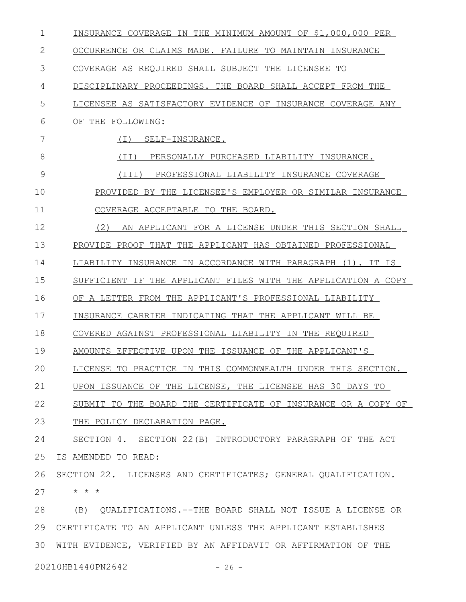| $\mathbf 1$ | INSURANCE COVERAGE IN THE MINIMUM AMOUNT OF \$1,000,000 PER   |
|-------------|---------------------------------------------------------------|
| 2           | OCCURRENCE OR CLAIMS MADE. FAILURE TO MAINTAIN INSURANCE      |
| 3           | COVERAGE AS REQUIRED SHALL SUBJECT THE LICENSEE TO            |
| 4           | DISCIPLINARY PROCEEDINGS. THE BOARD SHALL ACCEPT FROM THE     |
| 5           | LICENSEE AS SATISFACTORY EVIDENCE OF INSURANCE COVERAGE ANY   |
| 6           | OF THE FOLLOWING:                                             |
| 7           | ( I )<br>SELF-INSURANCE.                                      |
| 8           | (TI)<br>PERSONALLY PURCHASED LIABILITY INSURANCE.             |
| 9           | (III)<br>PROFESSIONAL LIABILITY INSURANCE COVERAGE            |
| 10          | PROVIDED BY THE LICENSEE'S EMPLOYER OR SIMILAR INSURANCE      |
| 11          | COVERAGE ACCEPTABLE TO THE BOARD.                             |
| 12          | AN APPLICANT FOR A LICENSE UNDER THIS SECTION SHALL<br>(2)    |
| 13          | PROVIDE PROOF THAT THE APPLICANT HAS OBTAINED PROFESSIONAL    |
| 14          | LIABILITY INSURANCE IN ACCORDANCE WITH PARAGRAPH (1). IT IS   |
| 15          | SUFFICIENT IF THE APPLICANT FILES WITH THE APPLICATION A COPY |
| 16          | OF A LETTER FROM THE APPLICANT'S PROFESSIONAL LIABILITY       |
| 17          | INSURANCE CARRIER INDICATING THAT THE APPLICANT WILL BE       |
| 18          | COVERED AGAINST PROFESSIONAL LIABILITY IN THE REOUIRED        |
| 19          | AMOUNTS EFFECTIVE UPON THE ISSUANCE OF THE APPLICANT'S        |
| 20          | LICENSE TO PRACTICE IN THIS COMMONWEALTH UNDER THIS SECTION.  |
| 21          | UPON ISSUANCE OF THE LICENSE, THE LICENSEE HAS 30 DAYS TO     |
| 22          | SUBMIT TO THE BOARD THE CERTIFICATE OF INSURANCE OR A COPY OF |
| 23          | THE POLICY DECLARATION PAGE.                                  |
| 24          | SECTION 4. SECTION 22(B) INTRODUCTORY PARAGRAPH OF THE ACT    |
| 25          | IS AMENDED TO READ:                                           |
| 26          | SECTION 22. LICENSES AND CERTIFICATES; GENERAL QUALIFICATION. |
| 27          | $\star$ $\star$ $\star$                                       |
| 28          | (B) QUALIFICATIONS. -- THE BOARD SHALL NOT ISSUE A LICENSE OR |
| 29          | CERTIFICATE TO AN APPLICANT UNLESS THE APPLICANT ESTABLISHES  |
| 30          | WITH EVIDENCE, VERIFIED BY AN AFFIDAVIT OR AFFIRMATION OF THE |
|             | 20210HB1440PN2642<br>$-26 -$                                  |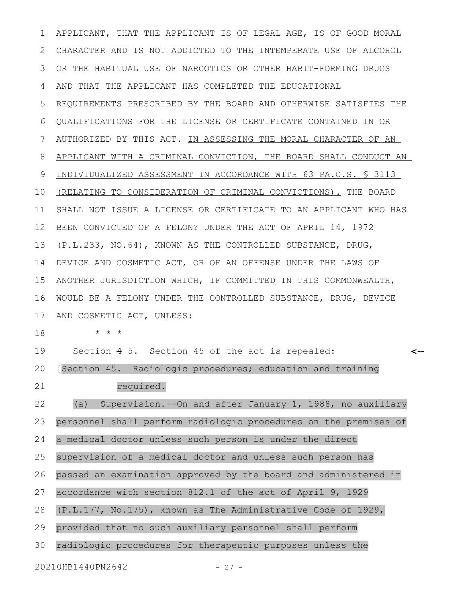APPLICANT, THAT THE APPLICANT IS OF LEGAL AGE, IS OF GOOD MORAL CHARACTER AND IS NOT ADDICTED TO THE INTEMPERATE USE OF ALCOHOL OR THE HABITUAL USE OF NARCOTICS OR OTHER HABIT-FORMING DRUGS AND THAT THE APPLICANT HAS COMPLETED THE EDUCATIONAL REQUIREMENTS PRESCRIBED BY THE BOARD AND OTHERWISE SATISFIES THE QUALIFICATIONS FOR THE LICENSE OR CERTIFICATE CONTAINED IN OR AUTHORIZED BY THIS ACT. IN ASSESSING THE MORAL CHARACTER OF AN APPLICANT WITH A CRIMINAL CONVICTION, THE BOARD SHALL CONDUCT AN INDIVIDUALIZED ASSESSMENT IN ACCORDANCE WITH 63 PA.C.S. § 3113 (RELATING TO CONSIDERATION OF CRIMINAL CONVICTIONS). THE BOARD SHALL NOT ISSUE A LICENSE OR CERTIFICATE TO AN APPLICANT WHO HAS BEEN CONVICTED OF A FELONY UNDER THE ACT OF APRIL 14, 1972 (P.L.233, NO.64), KNOWN AS THE CONTROLLED SUBSTANCE, DRUG, DEVICE AND COSMETIC ACT, OR OF AN OFFENSE UNDER THE LAWS OF ANOTHER JURISDICTION WHICH, IF COMMITTED IN THIS COMMONWEALTH, WOULD BE A FELONY UNDER THE CONTROLLED SUBSTANCE, DRUG, DEVICE AND COSMETIC ACT, UNLESS: \* \* \* Section 4 5. Section 45 of the act is repealed: [Section 45. Radiologic procedures; education and training required. (a) Supervision.--On and after January 1, 1988, no auxiliary personnel shall perform radiologic procedures on the premises of a medical doctor unless such person is under the direct supervision of a medical doctor and unless such person has passed an examination approved by the board and administered in accordance with section 812.1 of the act of April 9, 1929 (P.L.177, No.175), known as The Administrative Code of 1929, provided that no such auxiliary personnel shall perform radiologic procedures for therapeutic purposes unless the 20210HB1440PN2642 - 27 -**<--** 1 2 3 4 5 6 7 8 9 10 11 12 13 14 15 16 17 18 19 20 21 22 23 24 25 26 27 28 29 30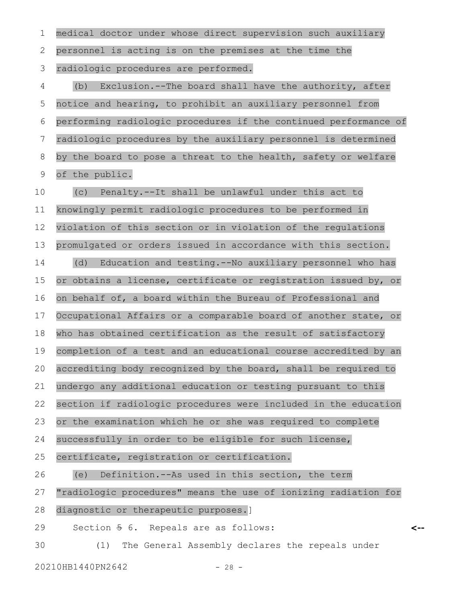| 1  | medical doctor under whose direct supervision such auxiliary     |
|----|------------------------------------------------------------------|
| 2  | personnel is acting is on the premises at the time the           |
| 3  | radiologic procedures are performed.                             |
| 4  | Exclusion.--The board shall have the authority, after<br>(b)     |
| 5  | notice and hearing, to prohibit an auxiliary personnel from      |
| 6  | performing radiologic procedures if the continued performance of |
| 7  | radiologic procedures by the auxiliary personnel is determined   |
| 8  | by the board to pose a threat to the health, safety or welfare   |
| 9  | of the public.                                                   |
| 10 | Penalty.--It shall be unlawful under this act to<br>(C)          |
| 11 | knowingly permit radiologic procedures to be performed in        |
| 12 | violation of this section or in violation of the regulations     |
| 13 | promulgated or orders issued in accordance with this section.    |
| 14 | (d) Education and testing. -- No auxiliary personnel who has     |
| 15 | or obtains a license, certificate or registration issued by, or  |
| 16 | on behalf of, a board within the Bureau of Professional and      |
| 17 | Occupational Affairs or a comparable board of another state, or  |
| 18 | who has obtained certification as the result of satisfactory     |
| 19 | completion of a test and an educational course accredited by an  |
| 20 | accrediting body recognized by the board, shall be required to   |
| 21 | undergo any additional education or testing pursuant to this     |
| 22 | section if radiologic procedures were included in the education  |
| 23 | or the examination which he or she was required to complete      |
| 24 | successfully in order to be eligible for such license,           |
| 25 | certificate, registration or certification.                      |
| 26 | Definition.--As used in this section, the term<br>(e)            |
| 27 | "radiologic procedures" means the use of ionizing radiation for  |
| 28 | diagnostic or therapeutic purposes.]                             |
| 29 | Section 5 6. Repeals are as follows:                             |
| 30 | The General Assembly declares the repeals under<br>(1)           |

20210HB1440PN2642 - 28 -

**<--**